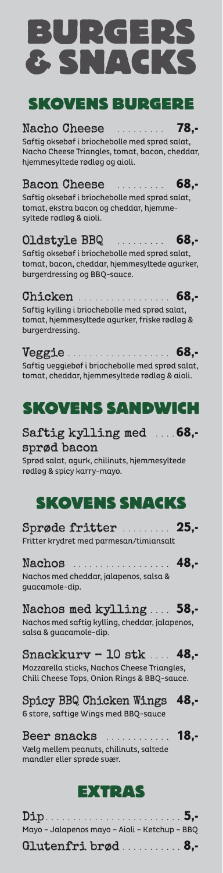# $\blacksquare$ & SNACKS SKOVENS BURGERE

### Nacho Cheese .......... 78,-

Saftig oksebøf i briochebolle med sprød salat, Nacho Cheese Triangles, tomat, bacon, cheddar, hjemmesyltede rødløg og aioli.

### Bacon Cheese .......... 68,-

Saftig oksebøf i briochebolle med sprød salat, tomat, ekstra bacon og cheddar, hjemmesyltede rødløg & aioli.

### Oldstyle BBQ ......... 68,-

Saftig oksebøf i briochebolle med sprød salat, tomat, bacon, cheddar, hjemmesyltede agurker, burgerdressing og BBQ-sauce.

#### Chicken . . . . . . . . . . . . . . . 68,-

### Saftig kylling med .... 68,sprød bacon

#### Nachos . . . . . . . . . . . . . . . . 48,-Nachos med cheddar, jalapenos, salsa & guacamole-dip.

### Nachos med kylling ... 58,-

Saftig kylling i briochebolle med sprød salat, tomat, hjemmesyltede agurker, friske rødløg & burgerdressing.

Veggie . . . . . . . . . . . . . 68,- Saftig veggiebøf i briochebolle med sprød salat, tomat, cheddar, hjemmesyltede rødløg & aioli.

| Mayo - Jalapenos mayo - Aioli - Ketchup - BBQ |  |
|-----------------------------------------------|--|
| Glutenfri brød 8,-                            |  |

## SKOVENS SANDWICH

Sprød salat, agurk, chilinuts, hjemmesyltede rødløg & spicy karry-mayo.

## SKOVENS SNACKS

Sprøde fritter . . . . . . . . . 25,- Fritter krydret med parmesan/timiansalt

Nachos med saftig kylling, cheddar, jalapenos, salsa & guacamole-dip.

#### Snackkurv – 10 stk  $\ldots$  48.

Mozzarella sticks, Nachos Cheese Triangles, Chili Cheese Tops, Onion Rings & BBQ-sauce.

#### Spicy BBQ Chicken Wings 48,-

6 store, saftige Wings med BBQ-sauce

#### Beer snacks .............. 18.-

Vælg mellem peanuts, chilinuts, saltede mandler eller sprøde svær.

## $\Rightarrow$   $\bullet$   $\bullet$   $\cdot$   $\vee$   $\cdot$   $\triangleright$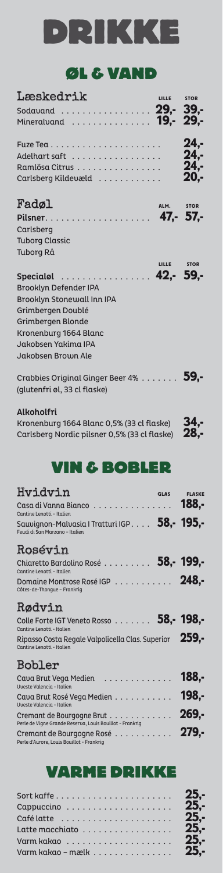# DRIKKE

## ØL & VAND

| Læskedrik                         |  | LILLE STOR |
|-----------------------------------|--|------------|
| Sodavand 29, - 39, -              |  |            |
| Mineralvand  19,- 29,-            |  |            |
|                                   |  | $24. -$    |
| Adelhart saft                     |  | $24. -$    |
| Ramlösa Citrus                    |  | $24. -$    |
| Carlsberg Kildevæld               |  | $20. -$    |
| Fadøl                             |  | ALM. STOR  |
| Pilsner. 47,- 57,-                |  |            |
| Carlsberg                         |  |            |
| <b>Tuborg Classic</b>             |  |            |
| <b>Tuborg Rå</b>                  |  |            |
|                                   |  | LILLE STOR |
| Specialol  42,- 59,-              |  |            |
| <b>Brooklyn Defender IPA</b>      |  |            |
| <b>Brooklyn Stonewall Inn IPA</b> |  |            |

Crabbies Original Ginger Beer 4% . . . . . . . 59,-(glutenfri øl, 33 cl flaske)

Kronenburg 1664 Blanc 0,5% (33 cl flaske)  $34, -$ <br>Carlsberg Nordic pilsner 0,5% (33 cl flaske)  $28, -$ Carlsberg Nordic pilsner 0,5% (33 cl flaske) 28,-

Grimbergen Doublé Grimbergen Blonde Kronenburg 1664 Blanc Jakobsen Yakima IPA Jakobsen Brown Ale

#### Alkoholfri

## VIN & BOBLER

| Latte macchiato 25,-  |  |
|-----------------------|--|
|                       |  |
| Varm kakao - mælk 25. |  |

| Hvidvin                                                                        | GLAS FLASKE |
|--------------------------------------------------------------------------------|-------------|
| Cantine Lenotti - Italien                                                      |             |
| Sauvignon-Malvasia   Tratturi IGP 58,- 195,-<br>Feudi di San Marzano - Italien |             |
| Rosévin                                                                        |             |
| Chiaretto Bardolino Rosé  58,- 199,-<br>Cantine Lenotti - Italien              |             |
| Domaine Montrose Rosé IGP 248,-<br>Côtes-de-Thongue - Frankrig                 |             |

#### Rødvin

| Colle Forte IGT Veneto Rosso 58, - 198, -<br>Cantine Lenotti - Italien                |          |
|---------------------------------------------------------------------------------------|----------|
| Ripasso Costa Regale Valpolicella Clas. Superior 259.-<br>Cantine Lenotti - Italien   |          |
| Bobler                                                                                |          |
| Cava Brut Vega Medien  188,-<br>Uveste Valencia - Italien                             |          |
| Cava Brut Rosé Vega Medien<br>Uveste Valencia - Italien                               | 198.-    |
| Cremant de Bourgogne Brut<br>Perle de Vigne Grande Reserva, Louis Bouillot - Frankrig | $269. -$ |
| Cremant de Bourgogne Rosé<br>Perle d'Aurore, Louis Bouillot - Frankrig                | 279.-    |

### VARME DRIKKE